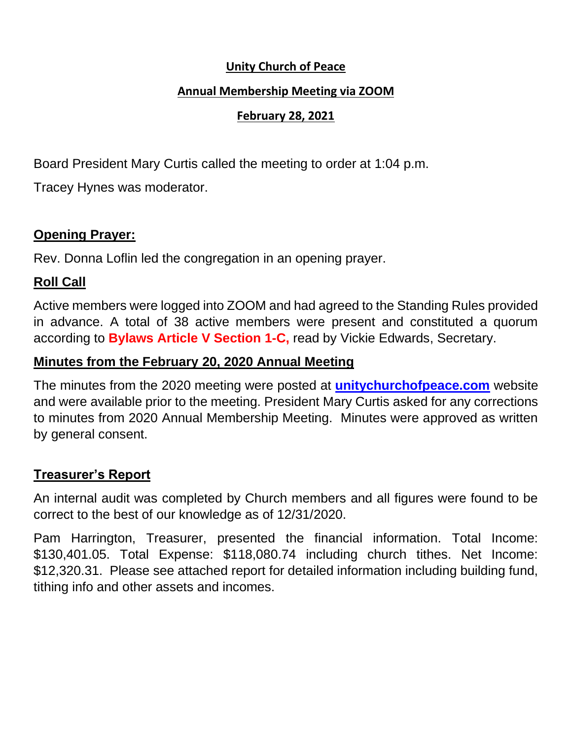#### **Unity Church of Peace**

#### **Annual Membership Meeting via ZOOM**

#### **February 28, 2021**

Board President Mary Curtis called the meeting to order at 1:04 p.m.

Tracey Hynes was moderator.

## **Opening Prayer:**

Rev. Donna Loflin led the congregation in an opening prayer.

# **Roll Call**

Active members were logged into ZOOM and had agreed to the Standing Rules provided in advance. A total of 38 active members were present and constituted a quorum according to **Bylaws Article V Section 1-C,** read by Vickie Edwards, Secretary.

## **Minutes from the February 20, 2020 Annual Meeting**

The minutes from the 2020 meeting were posted at **unitychurchofpeace.com** website and were available prior to the meeting. President Mary Curtis asked for any corrections to minutes from 2020 Annual Membership Meeting. Minutes were approved as written by general consent.

## **Treasurer's Report**

An internal audit was completed by Church members and all figures were found to be correct to the best of our knowledge as of 12/31/2020.

Pam Harrington, Treasurer, presented the financial information. Total Income: \$130,401.05. Total Expense: \$118,080.74 including church tithes. Net Income: \$12,320.31. Please see attached report for detailed information including building fund, tithing info and other assets and incomes.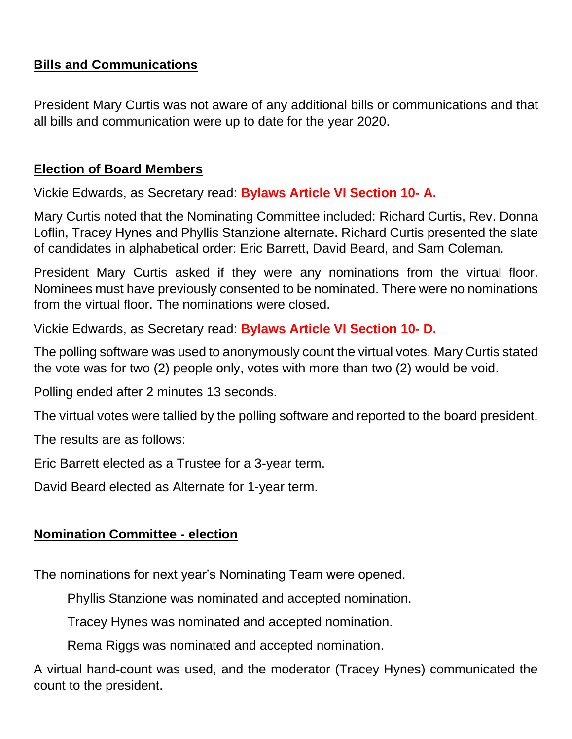## **Bills and Communications**

President Mary Curtis was not aware of any additional bills or communications and that all bills and communication were up to date for the year 2020.

## **Election of Board Members**

Vickie Edwards, as Secretary read: **Bylaws Article VI Section 10- A.**

Mary Curtis noted that the Nominating Committee included: Richard Curtis, Rev. Donna Loflin, Tracey Hynes and Phyllis Stanzione alternate. Richard Curtis presented the slate of candidates in alphabetical order: Eric Barrett, David Beard, and Sam Coleman.

President Mary Curtis asked if they were any nominations from the virtual floor. Nominees must have previously consented to be nominated. There were no nominations from the virtual floor. The nominations were closed.

Vickie Edwards, as Secretary read: **Bylaws Article VI Section 10- D.**

The polling software was used to anonymously count the virtual votes. Mary Curtis stated the vote was for two (2) people only, votes with more than two (2) would be void.

Polling ended after 2 minutes 13 seconds.

The virtual votes were tallied by the polling software and reported to the board president.

The results are as follows:

Eric Barrett elected as a Trustee for a 3-year term.

David Beard elected as Alternate for 1-year term.

## **Nomination Committee - election**

The nominations for next year's Nominating Team were opened.

Phyllis Stanzione was nominated and accepted nomination.

Tracey Hynes was nominated and accepted nomination.

Rema Riggs was nominated and accepted nomination.

A virtual hand-count was used, and the moderator (Tracey Hynes) communicated the count to the president.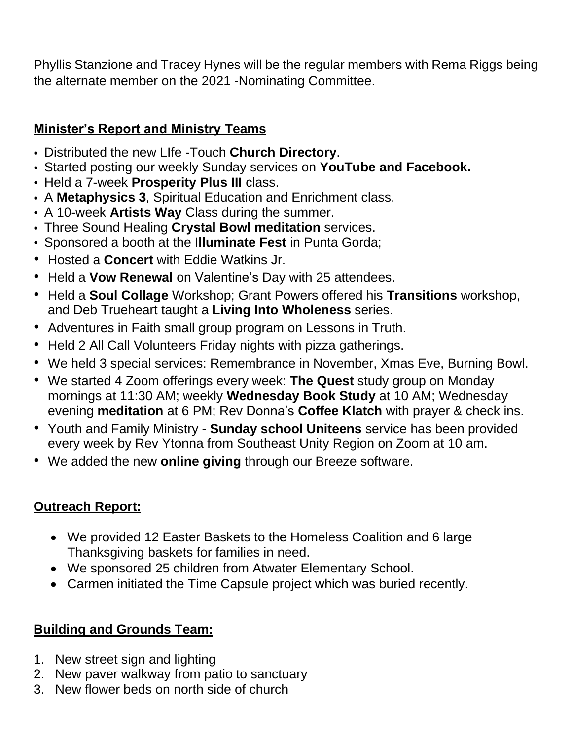Phyllis Stanzione and Tracey Hynes will be the regular members with Rema Riggs being the alternate member on the 2021 -Nominating Committee.

# **Minister's Report and Ministry Teams**

- Distributed the new LIfe -Touch **Church Directory**.
- Started posting our weekly Sunday services on **YouTube and Facebook.**
- Held a 7-week **Prosperity Plus III** class.
- A **Metaphysics 3**, Spiritual Education and Enrichment class.
- A 10-week **Artists Way** Class during the summer.
- Three Sound Healing **Crystal Bowl meditation** services.
- Sponsored a booth at the I**lluminate Fest** in Punta Gorda;
- Hosted a **Concert** with Eddie Watkins Jr.
- Held a **Vow Renewal** on Valentine's Day with 25 attendees.
- Held a **Soul Collage** Workshop; Grant Powers offered his **Transitions** workshop, and Deb Trueheart taught a **Living Into Wholeness** series.
- Adventures in Faith small group program on Lessons in Truth.
- Held 2 All Call Volunteers Friday nights with pizza gatherings.
- We held 3 special services: Remembrance in November, Xmas Eve, Burning Bowl.
- We started 4 Zoom offerings every week: **The Quest** study group on Monday mornings at 11:30 AM; weekly **Wednesday Book Study** at 10 AM; Wednesday evening **meditation** at 6 PM; Rev Donna's **Coffee Klatch** with prayer & check ins.
- Youth and Family Ministry **Sunday school Uniteens** service has been provided every week by Rev Ytonna from Southeast Unity Region on Zoom at 10 am.
- We added the new **online giving** through our Breeze software.

# **Outreach Report:**

- We provided 12 Easter Baskets to the Homeless Coalition and 6 large Thanksgiving baskets for families in need.
- We sponsored 25 children from Atwater Elementary School.
- Carmen initiated the Time Capsule project which was buried recently.

# **Building and Grounds Team:**

- 1. New street sign and lighting
- 2. New paver walkway from patio to sanctuary
- 3. New flower beds on north side of church